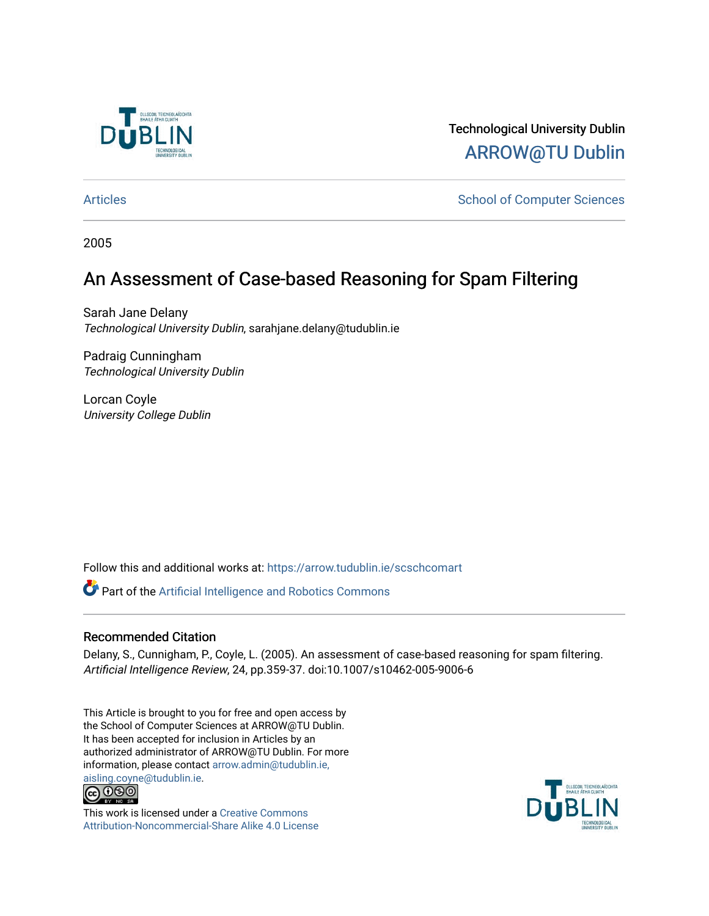

Technological University Dublin [ARROW@TU Dublin](https://arrow.tudublin.ie/) 

[Articles](https://arrow.tudublin.ie/scschcomart) **School of Computer Sciences** School of Computer Sciences

2005

# An Assessment of Case-based Reasoning for Spam Filtering

Sarah Jane Delany Technological University Dublin, sarahjane.delany@tudublin.ie

Padraig Cunningham Technological University Dublin

Lorcan Coyle University College Dublin

Follow this and additional works at: [https://arrow.tudublin.ie/scschcomart](https://arrow.tudublin.ie/scschcomart?utm_source=arrow.tudublin.ie%2Fscschcomart%2F86&utm_medium=PDF&utm_campaign=PDFCoverPages)

Part of the [Artificial Intelligence and Robotics Commons](http://network.bepress.com/hgg/discipline/143?utm_source=arrow.tudublin.ie%2Fscschcomart%2F86&utm_medium=PDF&utm_campaign=PDFCoverPages) 

# Recommended Citation

Delany, S., Cunnigham, P., Coyle, L. (2005). An assessment of case-based reasoning for spam filtering. Artificial Intelligence Review, 24, pp.359-37. doi:10.1007/s10462-005-9006-6

This Article is brought to you for free and open access by the School of Computer Sciences at ARROW@TU Dublin. It has been accepted for inclusion in Articles by an authorized administrator of ARROW@TU Dublin. For more information, please contact [arrow.admin@tudublin.ie,](mailto:arrow.admin@tudublin.ie,%20aisling.coyne@tudublin.ie) 



This work is licensed under a [Creative Commons](http://creativecommons.org/licenses/by-nc-sa/4.0/) [Attribution-Noncommercial-Share Alike 4.0 License](http://creativecommons.org/licenses/by-nc-sa/4.0/)

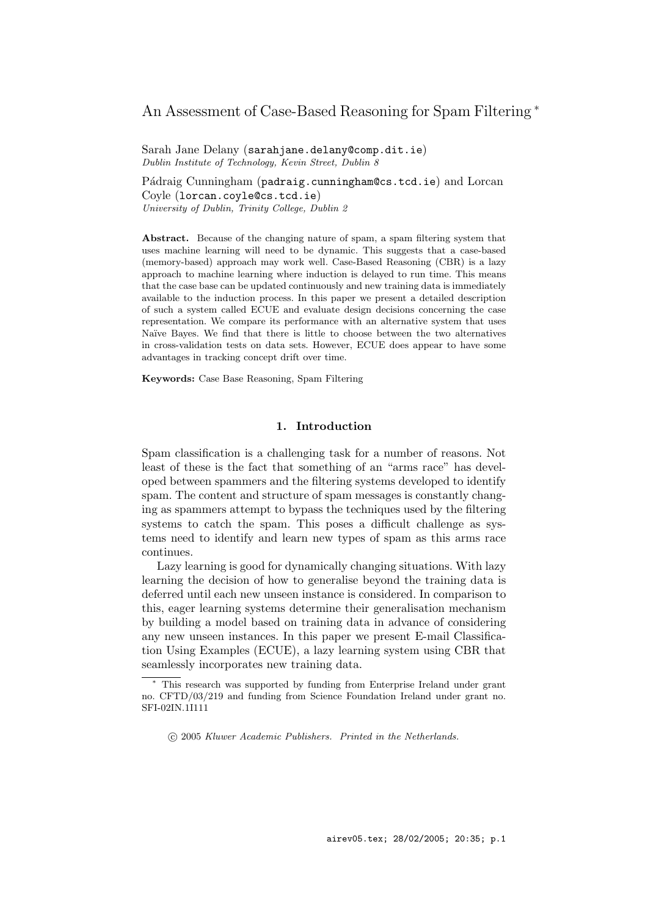# An Assessment of Case-Based Reasoning for Spam Filtering <sup>∗</sup>

Sarah Jane Delany (sarahjane.delany@comp.dit.ie) Dublin Institute of Technology, Kevin Street, Dublin 8

Pádraig Cunningham (padraig.cunningham@cs.tcd.ie) and Lorcan Coyle (lorcan.coyle@cs.tcd.ie) University of Dublin, Trinity College, Dublin 2

Abstract. Because of the changing nature of spam, a spam filtering system that uses machine learning will need to be dynamic. This suggests that a case-based (memory-based) approach may work well. Case-Based Reasoning (CBR) is a lazy approach to machine learning where induction is delayed to run time. This means that the case base can be updated continuously and new training data is immediately available to the induction process. In this paper we present a detailed description of such a system called ECUE and evaluate design decisions concerning the case representation. We compare its performance with an alternative system that uses Naïve Bayes. We find that there is little to choose between the two alternatives in cross-validation tests on data sets. However, ECUE does appear to have some advantages in tracking concept drift over time.

Keywords: Case Base Reasoning, Spam Filtering

# 1. Introduction

Spam classification is a challenging task for a number of reasons. Not least of these is the fact that something of an "arms race" has developed between spammers and the filtering systems developed to identify spam. The content and structure of spam messages is constantly changing as spammers attempt to bypass the techniques used by the filtering systems to catch the spam. This poses a difficult challenge as systems need to identify and learn new types of spam as this arms race continues.

Lazy learning is good for dynamically changing situations. With lazy learning the decision of how to generalise beyond the training data is deferred until each new unseen instance is considered. In comparison to this, eager learning systems determine their generalisation mechanism by building a model based on training data in advance of considering any new unseen instances. In this paper we present E-mail Classification Using Examples (ECUE), a lazy learning system using CBR that seamlessly incorporates new training data.

<sup>∗</sup> This research was supported by funding from Enterprise Ireland under grant no. CFTD/03/219 and funding from Science Foundation Ireland under grant no. SFI-02IN.1I111

c 2005 Kluwer Academic Publishers. Printed in the Netherlands.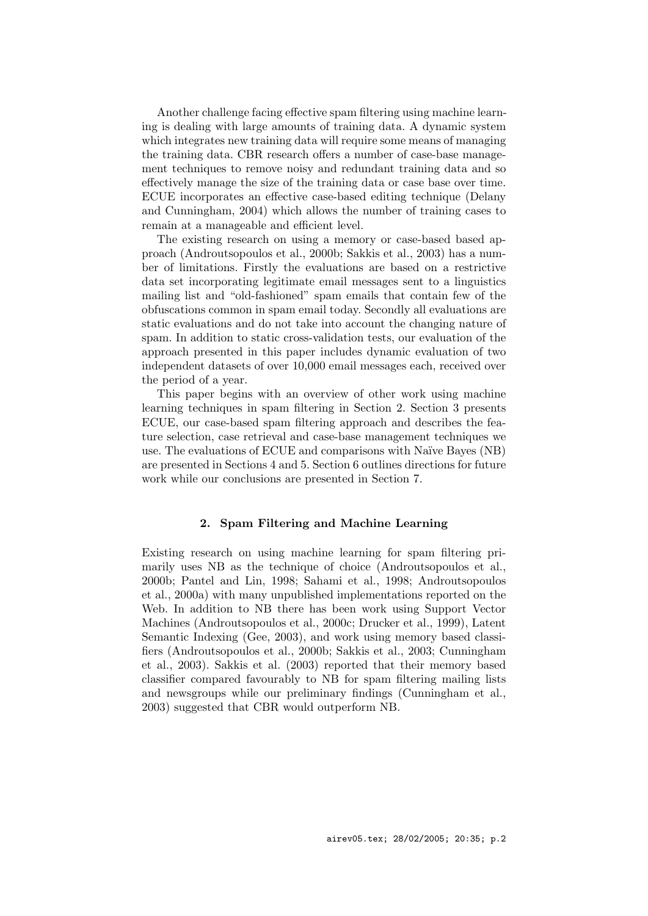Another challenge facing effective spam filtering using machine learning is dealing with large amounts of training data. A dynamic system which integrates new training data will require some means of managing the training data. CBR research offers a number of case-base management techniques to remove noisy and redundant training data and so effectively manage the size of the training data or case base over time. ECUE incorporates an effective case-based editing technique (Delany and Cunningham, 2004) which allows the number of training cases to remain at a manageable and efficient level.

The existing research on using a memory or case-based based approach (Androutsopoulos et al., 2000b; Sakkis et al., 2003) has a number of limitations. Firstly the evaluations are based on a restrictive data set incorporating legitimate email messages sent to a linguistics mailing list and "old-fashioned" spam emails that contain few of the obfuscations common in spam email today. Secondly all evaluations are static evaluations and do not take into account the changing nature of spam. In addition to static cross-validation tests, our evaluation of the approach presented in this paper includes dynamic evaluation of two independent datasets of over 10,000 email messages each, received over the period of a year.

This paper begins with an overview of other work using machine learning techniques in spam filtering in Section 2. Section 3 presents ECUE, our case-based spam filtering approach and describes the feature selection, case retrieval and case-base management techniques we use. The evaluations of ECUE and comparisons with Naïve Bayes (NB) are presented in Sections 4 and 5. Section 6 outlines directions for future work while our conclusions are presented in Section 7.

### 2. Spam Filtering and Machine Learning

Existing research on using machine learning for spam filtering primarily uses NB as the technique of choice (Androutsopoulos et al., 2000b; Pantel and Lin, 1998; Sahami et al., 1998; Androutsopoulos et al., 2000a) with many unpublished implementations reported on the Web. In addition to NB there has been work using Support Vector Machines (Androutsopoulos et al., 2000c; Drucker et al., 1999), Latent Semantic Indexing (Gee, 2003), and work using memory based classifiers (Androutsopoulos et al., 2000b; Sakkis et al., 2003; Cunningham et al., 2003). Sakkis et al. (2003) reported that their memory based classifier compared favourably to NB for spam filtering mailing lists and newsgroups while our preliminary findings (Cunningham et al., 2003) suggested that CBR would outperform NB.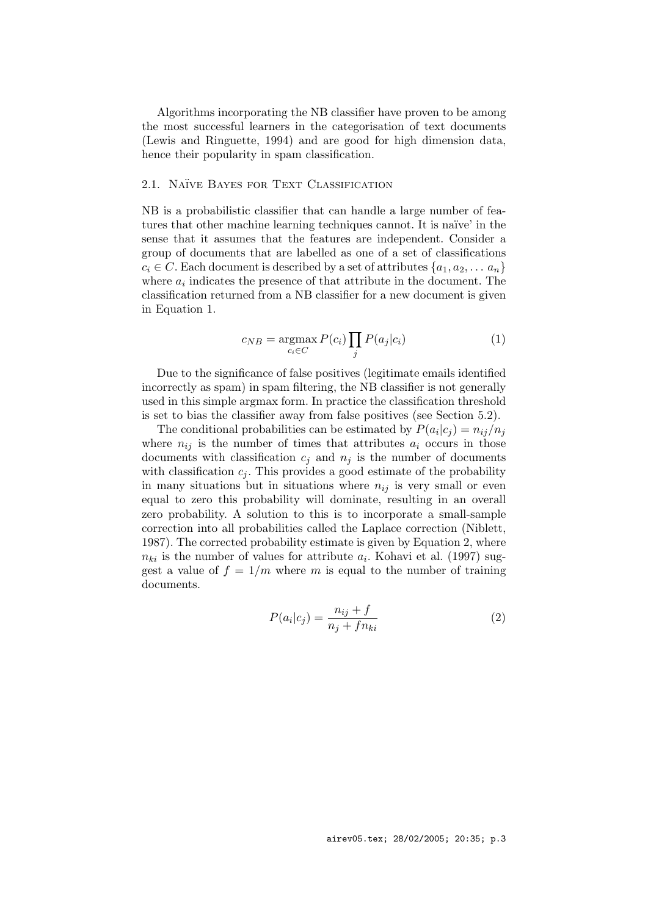Algorithms incorporating the NB classifier have proven to be among the most successful learners in the categorisation of text documents (Lewis and Ringuette, 1994) and are good for high dimension data, hence their popularity in spam classification.

#### 2.1. NAÏVE BAYES FOR TEXT CLASSIFICATION

NB is a probabilistic classifier that can handle a large number of features that other machine learning techniques cannot. It is naïve' in the sense that it assumes that the features are independent. Consider a group of documents that are labelled as one of a set of classifications  $c_i \in C$ . Each document is described by a set of attributes  $\{a_1, a_2, \ldots, a_n\}$ where  $a_i$  indicates the presence of that attribute in the document. The classification returned from a NB classifier for a new document is given in Equation 1.

$$
c_{NB} = \underset{c_i \in C}{\text{argmax}} P(c_i) \prod_j P(a_j|c_i)
$$
 (1)

Due to the significance of false positives (legitimate emails identified incorrectly as spam) in spam filtering, the NB classifier is not generally used in this simple argmax form. In practice the classification threshold is set to bias the classifier away from false positives (see Section 5.2).

The conditional probabilities can be estimated by  $P(a_i|c_j) = n_{ij}/n_j$ where  $n_{ij}$  is the number of times that attributes  $a_i$  occurs in those documents with classification  $c_i$  and  $n_i$  is the number of documents with classification  $c_i$ . This provides a good estimate of the probability in many situations but in situations where  $n_{ij}$  is very small or even equal to zero this probability will dominate, resulting in an overall zero probability. A solution to this is to incorporate a small-sample correction into all probabilities called the Laplace correction (Niblett, 1987). The corrected probability estimate is given by Equation 2, where  $n_{ki}$  is the number of values for attribute  $a_i$ . Kohavi et al. (1997) suggest a value of  $f = 1/m$  where m is equal to the number of training documents.

$$
P(a_i|c_j) = \frac{n_{ij} + f}{n_j + fn_{ki}}\tag{2}
$$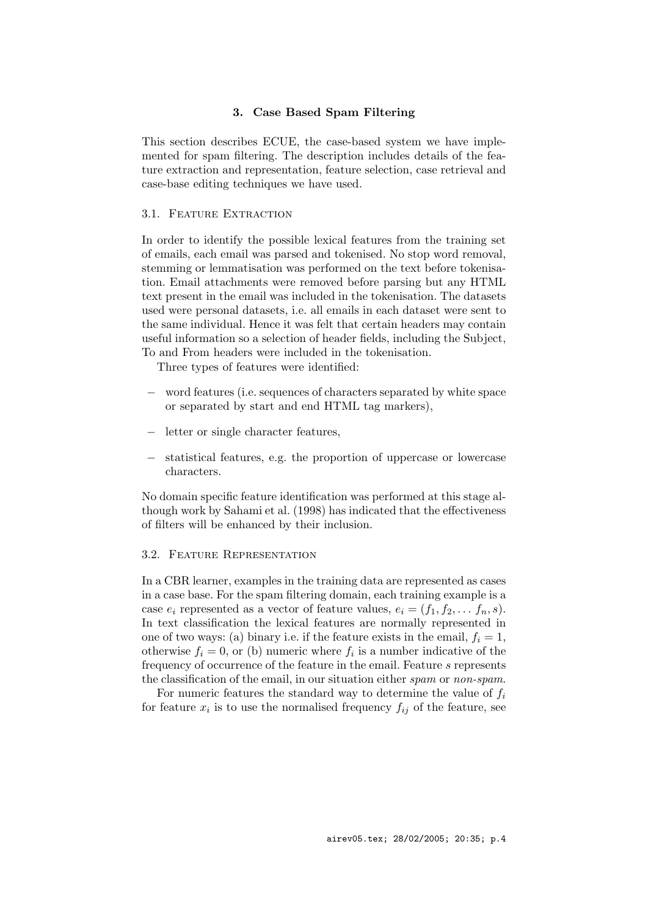#### 3. Case Based Spam Filtering

This section describes ECUE, the case-based system we have implemented for spam filtering. The description includes details of the feature extraction and representation, feature selection, case retrieval and case-base editing techniques we have used.

#### 3.1. FEATURE EXTRACTION

In order to identify the possible lexical features from the training set of emails, each email was parsed and tokenised. No stop word removal, stemming or lemmatisation was performed on the text before tokenisation. Email attachments were removed before parsing but any HTML text present in the email was included in the tokenisation. The datasets used were personal datasets, i.e. all emails in each dataset were sent to the same individual. Hence it was felt that certain headers may contain useful information so a selection of header fields, including the Subject, To and From headers were included in the tokenisation.

Three types of features were identified:

- − word features (i.e. sequences of characters separated by white space or separated by start and end HTML tag markers),
- − letter or single character features,
- statistical features, e.g. the proportion of uppercase or lowercase characters.

No domain specific feature identification was performed at this stage although work by Sahami et al. (1998) has indicated that the effectiveness of filters will be enhanced by their inclusion.

#### 3.2. Feature Representation

In a CBR learner, examples in the training data are represented as cases in a case base. For the spam filtering domain, each training example is a case  $e_i$  represented as a vector of feature values,  $e_i = (f_1, f_2, \ldots, f_n, s)$ . In text classification the lexical features are normally represented in one of two ways: (a) binary i.e. if the feature exists in the email,  $f_i = 1$ , otherwise  $f_i = 0$ , or (b) numeric where  $f_i$  is a number indicative of the frequency of occurrence of the feature in the email. Feature s represents the classification of the email, in our situation either spam or non-spam.

For numeric features the standard way to determine the value of  $f_i$ for feature  $x_i$  is to use the normalised frequency  $f_{ij}$  of the feature, see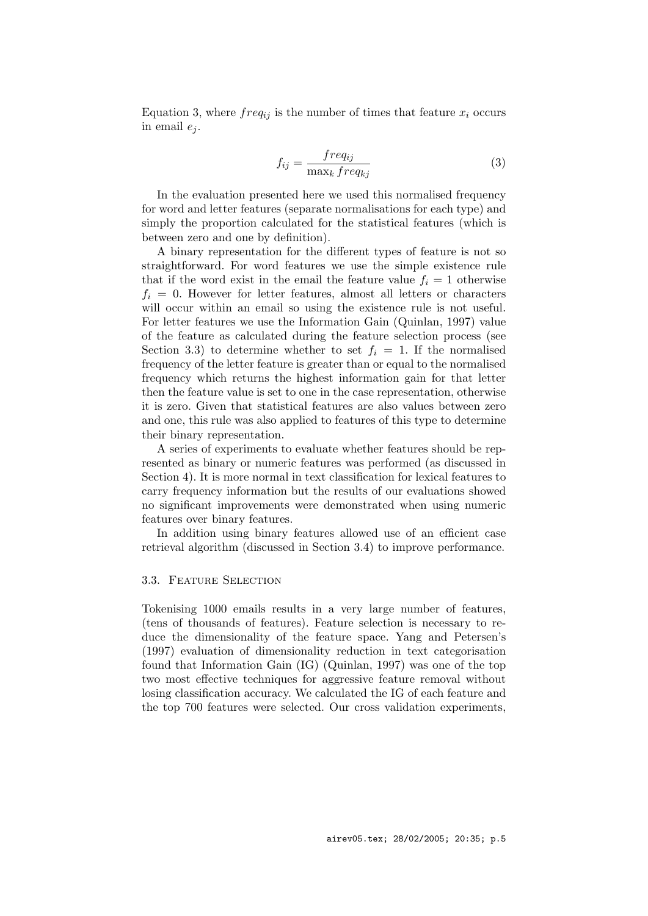Equation 3, where  $freq_{ij}$  is the number of times that feature  $x_i$  occurs in email  $e_i$ .

$$
f_{ij} = \frac{freq_{ij}}{\max_k freq_{kj}}
$$
 (3)

In the evaluation presented here we used this normalised frequency for word and letter features (separate normalisations for each type) and simply the proportion calculated for the statistical features (which is between zero and one by definition).

A binary representation for the different types of feature is not so straightforward. For word features we use the simple existence rule that if the word exist in the email the feature value  $f_i = 1$  otherwise  $f_i = 0$ . However for letter features, almost all letters or characters will occur within an email so using the existence rule is not useful. For letter features we use the Information Gain (Quinlan, 1997) value of the feature as calculated during the feature selection process (see Section 3.3) to determine whether to set  $f_i = 1$ . If the normalised frequency of the letter feature is greater than or equal to the normalised frequency which returns the highest information gain for that letter then the feature value is set to one in the case representation, otherwise it is zero. Given that statistical features are also values between zero and one, this rule was also applied to features of this type to determine their binary representation.

A series of experiments to evaluate whether features should be represented as binary or numeric features was performed (as discussed in Section 4). It is more normal in text classification for lexical features to carry frequency information but the results of our evaluations showed no significant improvements were demonstrated when using numeric features over binary features.

In addition using binary features allowed use of an efficient case retrieval algorithm (discussed in Section 3.4) to improve performance.

#### 3.3. Feature Selection

Tokenising 1000 emails results in a very large number of features, (tens of thousands of features). Feature selection is necessary to reduce the dimensionality of the feature space. Yang and Petersen's (1997) evaluation of dimensionality reduction in text categorisation found that Information Gain (IG) (Quinlan, 1997) was one of the top two most effective techniques for aggressive feature removal without losing classification accuracy. We calculated the IG of each feature and the top 700 features were selected. Our cross validation experiments,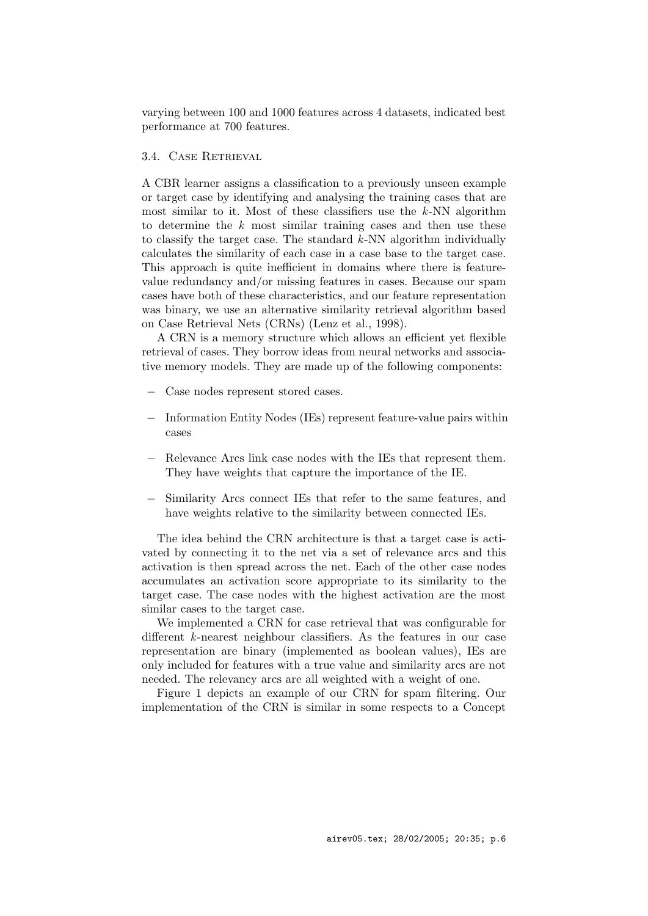varying between 100 and 1000 features across 4 datasets, indicated best performance at 700 features.

#### 3.4. Case Retrieval

A CBR learner assigns a classification to a previously unseen example or target case by identifying and analysing the training cases that are most similar to it. Most of these classifiers use the  $k$ -NN algorithm to determine the  $k$  most similar training cases and then use these to classify the target case. The standard  $k$ -NN algorithm individually calculates the similarity of each case in a case base to the target case. This approach is quite inefficient in domains where there is featurevalue redundancy and/or missing features in cases. Because our spam cases have both of these characteristics, and our feature representation was binary, we use an alternative similarity retrieval algorithm based on Case Retrieval Nets (CRNs) (Lenz et al., 1998).

A CRN is a memory structure which allows an efficient yet flexible retrieval of cases. They borrow ideas from neural networks and associative memory models. They are made up of the following components:

- − Case nodes represent stored cases.
- − Information Entity Nodes (IEs) represent feature-value pairs within cases
- − Relevance Arcs link case nodes with the IEs that represent them. They have weights that capture the importance of the IE.
- Similarity Arcs connect IEs that refer to the same features, and have weights relative to the similarity between connected IEs.

The idea behind the CRN architecture is that a target case is activated by connecting it to the net via a set of relevance arcs and this activation is then spread across the net. Each of the other case nodes accumulates an activation score appropriate to its similarity to the target case. The case nodes with the highest activation are the most similar cases to the target case.

We implemented a CRN for case retrieval that was configurable for different k-nearest neighbour classifiers. As the features in our case representation are binary (implemented as boolean values), IEs are only included for features with a true value and similarity arcs are not needed. The relevancy arcs are all weighted with a weight of one.

Figure 1 depicts an example of our CRN for spam filtering. Our implementation of the CRN is similar in some respects to a Concept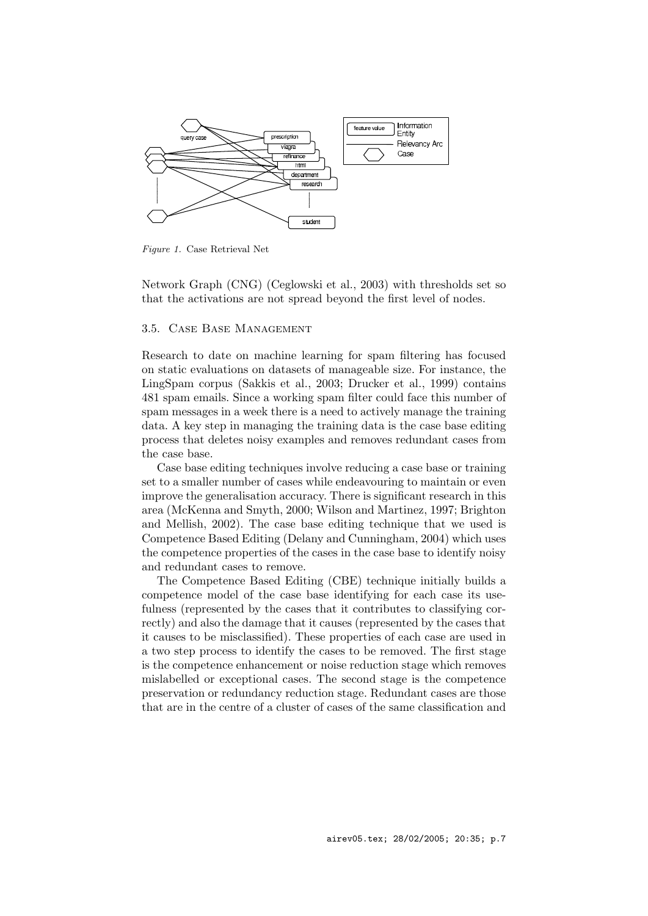

Figure 1. Case Retrieval Net

Network Graph (CNG) (Ceglowski et al., 2003) with thresholds set so that the activations are not spread beyond the first level of nodes.

#### 3.5. Case Base Management

Research to date on machine learning for spam filtering has focused on static evaluations on datasets of manageable size. For instance, the LingSpam corpus (Sakkis et al., 2003; Drucker et al., 1999) contains 481 spam emails. Since a working spam filter could face this number of spam messages in a week there is a need to actively manage the training data. A key step in managing the training data is the case base editing process that deletes noisy examples and removes redundant cases from the case base.

Case base editing techniques involve reducing a case base or training set to a smaller number of cases while endeavouring to maintain or even improve the generalisation accuracy. There is significant research in this area (McKenna and Smyth, 2000; Wilson and Martinez, 1997; Brighton and Mellish, 2002). The case base editing technique that we used is Competence Based Editing (Delany and Cunningham, 2004) which uses the competence properties of the cases in the case base to identify noisy and redundant cases to remove.

The Competence Based Editing (CBE) technique initially builds a competence model of the case base identifying for each case its usefulness (represented by the cases that it contributes to classifying correctly) and also the damage that it causes (represented by the cases that it causes to be misclassified). These properties of each case are used in a two step process to identify the cases to be removed. The first stage is the competence enhancement or noise reduction stage which removes mislabelled or exceptional cases. The second stage is the competence preservation or redundancy reduction stage. Redundant cases are those that are in the centre of a cluster of cases of the same classification and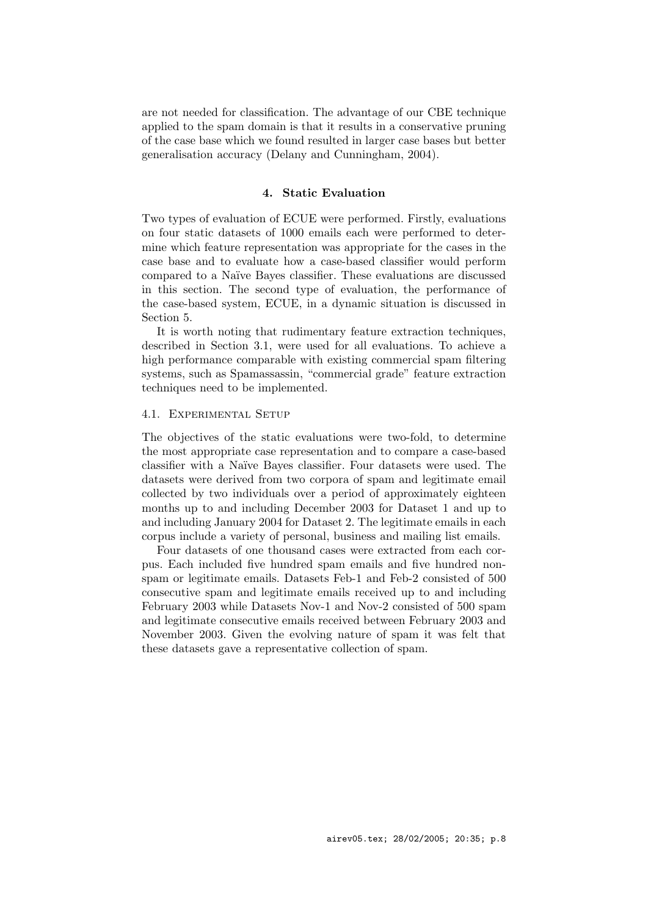are not needed for classification. The advantage of our CBE technique applied to the spam domain is that it results in a conservative pruning of the case base which we found resulted in larger case bases but better generalisation accuracy (Delany and Cunningham, 2004).

#### 4. Static Evaluation

Two types of evaluation of ECUE were performed. Firstly, evaluations on four static datasets of 1000 emails each were performed to determine which feature representation was appropriate for the cases in the case base and to evaluate how a case-based classifier would perform compared to a Naïve Bayes classifier. These evaluations are discussed in this section. The second type of evaluation, the performance of the case-based system, ECUE, in a dynamic situation is discussed in Section 5.

It is worth noting that rudimentary feature extraction techniques, described in Section 3.1, were used for all evaluations. To achieve a high performance comparable with existing commercial spam filtering systems, such as Spamassassin, "commercial grade" feature extraction techniques need to be implemented.

#### 4.1. Experimental Setup

The objectives of the static evaluations were two-fold, to determine the most appropriate case representation and to compare a case-based classifier with a Na¨ıve Bayes classifier. Four datasets were used. The datasets were derived from two corpora of spam and legitimate email collected by two individuals over a period of approximately eighteen months up to and including December 2003 for Dataset 1 and up to and including January 2004 for Dataset 2. The legitimate emails in each corpus include a variety of personal, business and mailing list emails.

Four datasets of one thousand cases were extracted from each corpus. Each included five hundred spam emails and five hundred nonspam or legitimate emails. Datasets Feb-1 and Feb-2 consisted of 500 consecutive spam and legitimate emails received up to and including February 2003 while Datasets Nov-1 and Nov-2 consisted of 500 spam and legitimate consecutive emails received between February 2003 and November 2003. Given the evolving nature of spam it was felt that these datasets gave a representative collection of spam.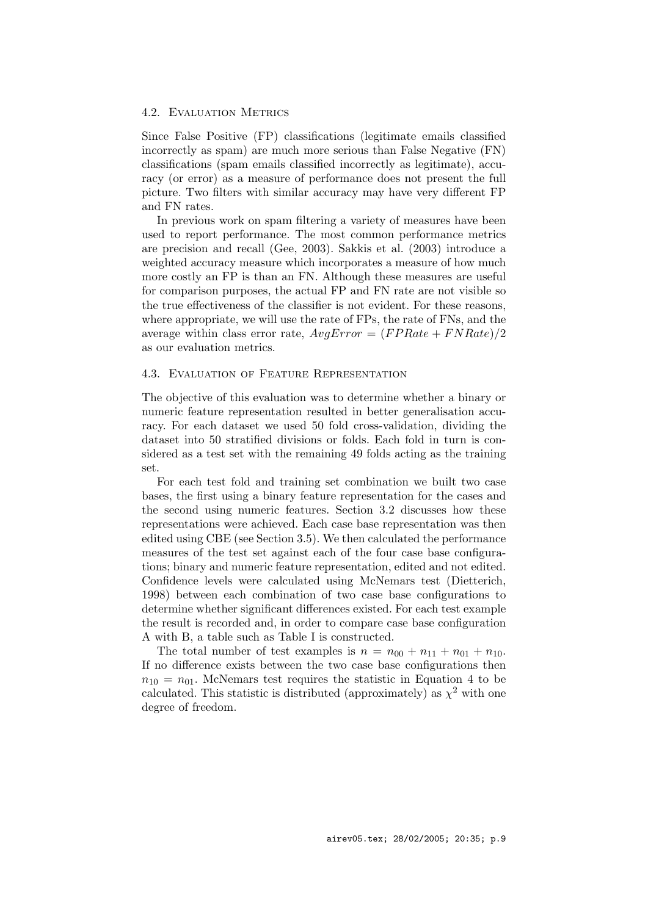#### 4.2. Evaluation Metrics

Since False Positive (FP) classifications (legitimate emails classified incorrectly as spam) are much more serious than False Negative (FN) classifications (spam emails classified incorrectly as legitimate), accuracy (or error) as a measure of performance does not present the full picture. Two filters with similar accuracy may have very different FP and FN rates.

In previous work on spam filtering a variety of measures have been used to report performance. The most common performance metrics are precision and recall (Gee, 2003). Sakkis et al. (2003) introduce a weighted accuracy measure which incorporates a measure of how much more costly an FP is than an FN. Although these measures are useful for comparison purposes, the actual FP and FN rate are not visible so the true effectiveness of the classifier is not evident. For these reasons, where appropriate, we will use the rate of FPs, the rate of FNs, and the average within class error rate,  $AvgError = (FPRate + FNRate)/2$ as our evaluation metrics.

#### 4.3. Evaluation of Feature Representation

The objective of this evaluation was to determine whether a binary or numeric feature representation resulted in better generalisation accuracy. For each dataset we used 50 fold cross-validation, dividing the dataset into 50 stratified divisions or folds. Each fold in turn is considered as a test set with the remaining 49 folds acting as the training set.

For each test fold and training set combination we built two case bases, the first using a binary feature representation for the cases and the second using numeric features. Section 3.2 discusses how these representations were achieved. Each case base representation was then edited using CBE (see Section 3.5). We then calculated the performance measures of the test set against each of the four case base configurations; binary and numeric feature representation, edited and not edited. Confidence levels were calculated using McNemars test (Dietterich, 1998) between each combination of two case base configurations to determine whether significant differences existed. For each test example the result is recorded and, in order to compare case base configuration A with B, a table such as Table I is constructed.

The total number of test examples is  $n = n_{00} + n_{11} + n_{01} + n_{10}$ . If no difference exists between the two case base configurations then  $n_{10} = n_{01}$ . McNemars test requires the statistic in Equation 4 to be calculated. This statistic is distributed (approximately) as  $\chi^2$  with one degree of freedom.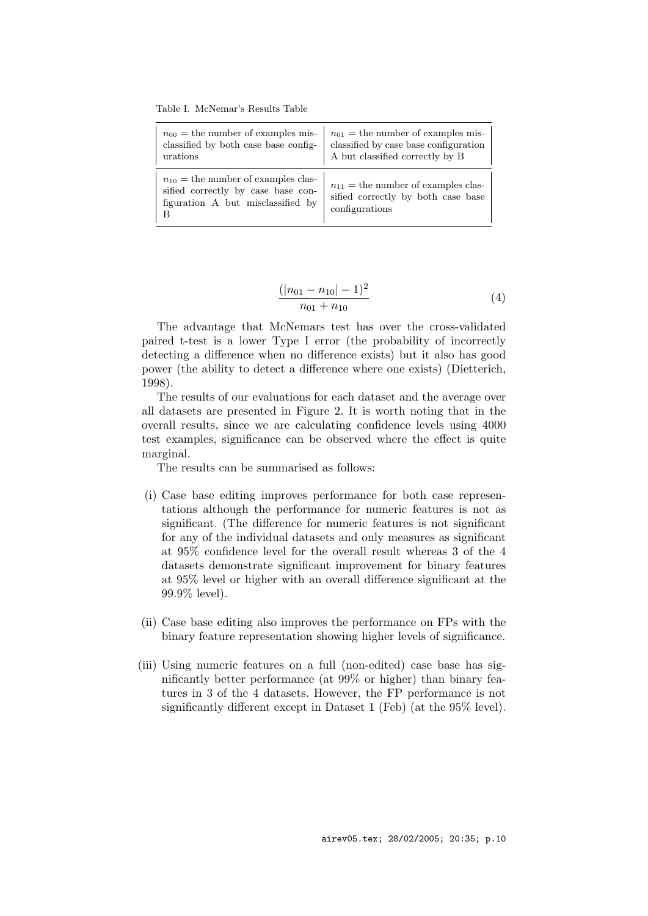Table I. McNemar's Results Table

| $n_{00}$ = the number of examples mis-                                                                                  | $n_{01}$ = the number of examples mis-                                                          |
|-------------------------------------------------------------------------------------------------------------------------|-------------------------------------------------------------------------------------------------|
| classified by both case base config-                                                                                    | classified by case base configuration                                                           |
| urations                                                                                                                | A but classified correctly by B                                                                 |
| $n_{10}$ = the number of examples clas-<br>sified correctly by case base con-<br>figuration A but misclassified by<br>В | $n_{11}$ = the number of examples clas-<br>sified correctly by both case base<br>configurations |

$$
\frac{(|n_{01} - n_{10}| - 1)^2}{n_{01} + n_{10}} \tag{4}
$$

The advantage that McNemars test has over the cross-validated paired t-test is a lower Type I error (the probability of incorrectly detecting a difference when no difference exists) but it also has good power (the ability to detect a difference where one exists) (Dietterich, 1998).

The results of our evaluations for each dataset and the average over all datasets are presented in Figure 2. It is worth noting that in the overall results, since we are calculating confidence levels using 4000 test examples, significance can be observed where the effect is quite marginal.

The results can be summarised as follows:

- (i) Case base editing improves performance for both case representations although the performance for numeric features is not as significant. (The difference for numeric features is not significant for any of the individual datasets and only measures as significant at 95% confidence level for the overall result whereas 3 of the 4 datasets demonstrate significant improvement for binary features at 95% level or higher with an overall difference significant at the 99.9% level).
- (ii) Case base editing also improves the performance on FPs with the binary feature representation showing higher levels of significance.
- (iii) Using numeric features on a full (non-edited) case base has significantly better performance (at 99% or higher) than binary features in 3 of the 4 datasets. However, the FP performance is not significantly different except in Dataset 1 (Feb) (at the 95% level).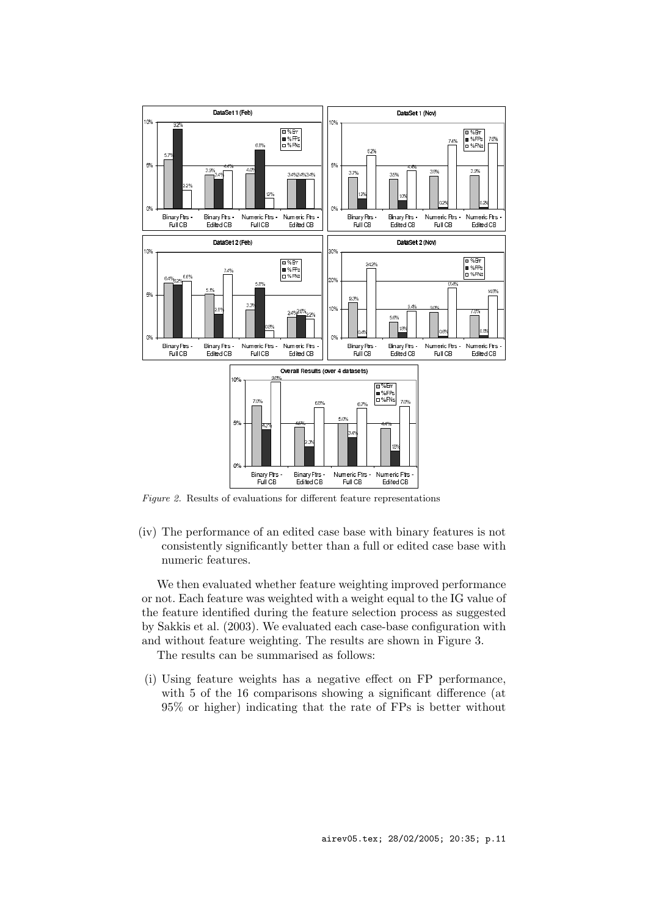

Figure 2. Results of evaluations for different feature representations

(iv) The performance of an edited case base with binary features is not consistently significantly better than a full or edited case base with numeric features.

We then evaluated whether feature weighting improved performance or not. Each feature was weighted with a weight equal to the IG value of the feature identified during the feature selection process as suggested by Sakkis et al. (2003). We evaluated each case-base configuration with and without feature weighting. The results are shown in Figure 3.

The results can be summarised as follows:

(i) Using feature weights has a negative effect on FP performance, with 5 of the 16 comparisons showing a significant difference (at 95% or higher) indicating that the rate of FPs is better without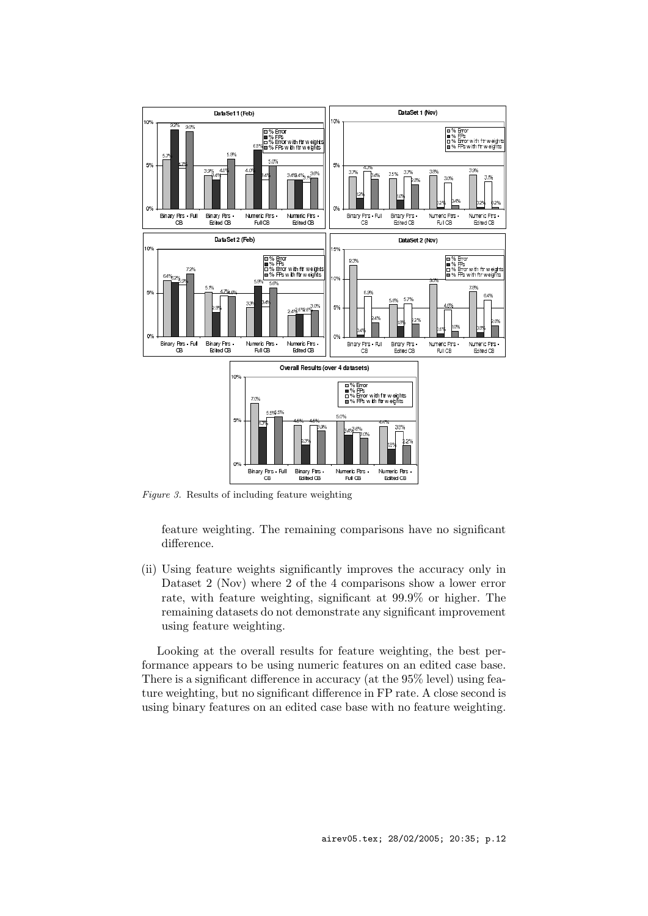

Figure 3. Results of including feature weighting

feature weighting. The remaining comparisons have no significant difference.

(ii) Using feature weights significantly improves the accuracy only in Dataset 2 (Nov) where 2 of the 4 comparisons show a lower error rate, with feature weighting, significant at 99.9% or higher. The remaining datasets do not demonstrate any significant improvement using feature weighting.

Looking at the overall results for feature weighting, the best performance appears to be using numeric features on an edited case base. There is a significant difference in accuracy (at the 95% level) using feature weighting, but no significant difference in FP rate. A close second is using binary features on an edited case base with no feature weighting.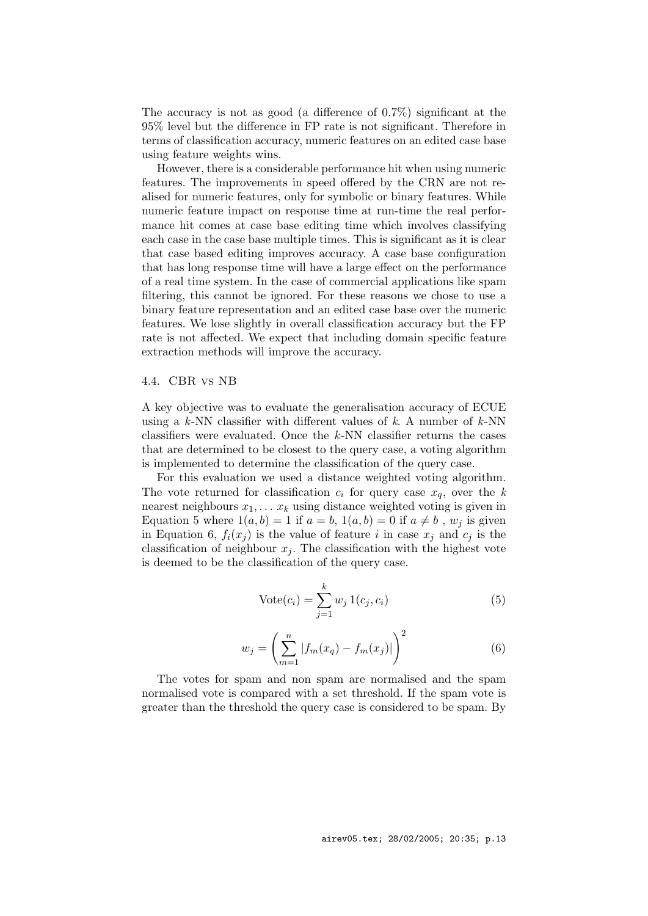The accuracy is not as good (a difference of 0.7%) significant at the 95% level but the difference in FP rate is not significant. Therefore in terms of classification accuracy, numeric features on an edited case base using feature weights wins.

However, there is a considerable performance hit when using numeric features. The improvements in speed offered by the CRN are not realised for numeric features, only for symbolic or binary features. While numeric feature impact on response time at run-time the real performance hit comes at case base editing time which involves classifying each case in the case base multiple times. This is significant as it is clear that case based editing improves accuracy. A case base configuration that has long response time will have a large effect on the performance of a real time system. In the case of commercial applications like spam filtering, this cannot be ignored. For these reasons we chose to use a binary feature representation and an edited case base over the numeric features. We lose slightly in overall classification accuracy but the FP rate is not affected. We expect that including domain specific feature extraction methods will improve the accuracy.

### 4.4. CBR vs NB

A key objective was to evaluate the generalisation accuracy of ECUE using a  $k$ -NN classifier with different values of  $k$ . A number of  $k$ -NN classifiers were evaluated. Once the  $k$ -NN classifier returns the cases that are determined to be closest to the query case, a voting algorithm is implemented to determine the classification of the query case.

For this evaluation we used a distance weighted voting algorithm. The vote returned for classification  $c_i$  for query case  $x_q$ , over the k nearest neighbours  $x_1, \ldots, x_k$  using distance weighted voting is given in Equation 5 where  $1(a, b) = 1$  if  $a = b$ ,  $1(a, b) = 0$  if  $a \neq b$ ,  $w<sub>j</sub>$  is given in Equation 6,  $f_i(x_j)$  is the value of feature i in case  $x_j$  and  $c_j$  is the classification of neighbour  $x_i$ . The classification with the highest vote is deemed to be the classification of the query case.

$$
Vote(c_i) = \sum_{j=1}^{k} w_j 1(c_j, c_i)
$$
 (5)

$$
w_j = \left(\sum_{m=1}^n |f_m(x_q) - f_m(x_j)|\right)^2
$$
 (6)

The votes for spam and non spam are normalised and the spam normalised vote is compared with a set threshold. If the spam vote is greater than the threshold the query case is considered to be spam. By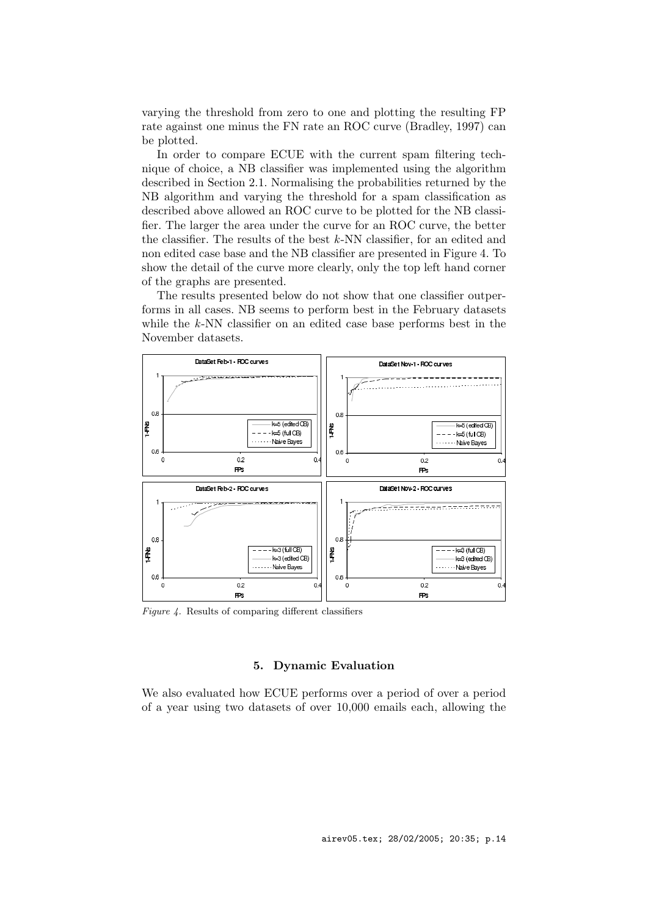varying the threshold from zero to one and plotting the resulting FP rate against one minus the FN rate an ROC curve (Bradley, 1997) can be plotted.

In order to compare ECUE with the current spam filtering technique of choice, a NB classifier was implemented using the algorithm described in Section 2.1. Normalising the probabilities returned by the NB algorithm and varying the threshold for a spam classification as described above allowed an ROC curve to be plotted for the NB classifier. The larger the area under the curve for an ROC curve, the better the classifier. The results of the best k-NN classifier, for an edited and non edited case base and the NB classifier are presented in Figure 4. To show the detail of the curve more clearly, only the top left hand corner of the graphs are presented.

The results presented below do not show that one classifier outperforms in all cases. NB seems to perform best in the February datasets while the k-NN classifier on an edited case base performs best in the November datasets.



Figure 4. Results of comparing different classifiers

#### 5. Dynamic Evaluation

We also evaluated how ECUE performs over a period of over a period of a year using two datasets of over 10,000 emails each, allowing the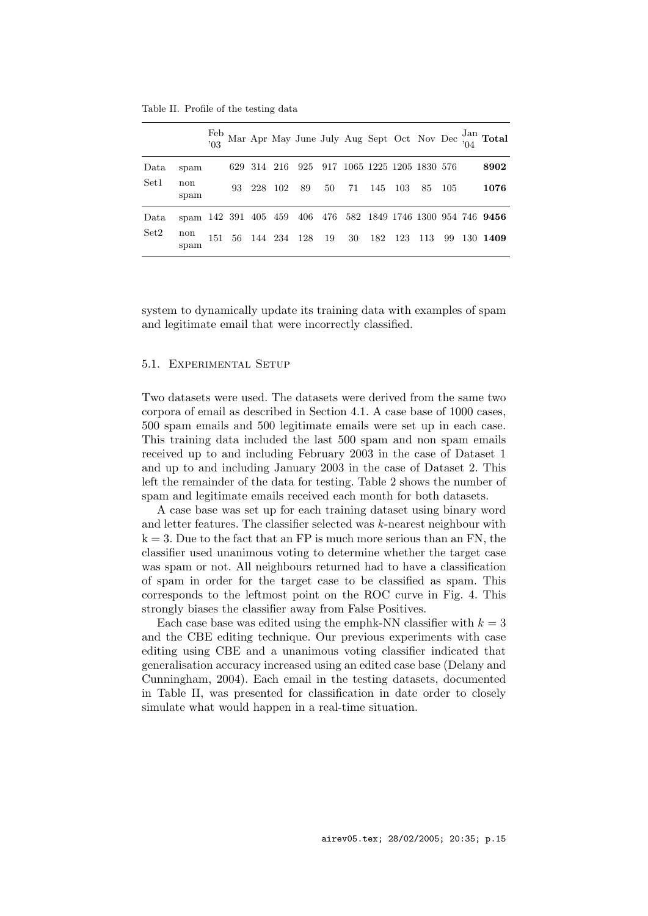Table II. Profile of the testing data

|              |             |  |            |             |                          |    |                             |     |     |     |      | $_{^{103}}^{\text{Feb}}$ Mar Apr May June July Aug Sept Oct Nov Dec $_{^{104}}^{\text{Jan}}$ Total |
|--------------|-------------|--|------------|-------------|--------------------------|----|-----------------------------|-----|-----|-----|------|----------------------------------------------------------------------------------------------------|
| Data<br>Set1 | spam        |  |            | 629 314 216 | 925                      |    | 917 1065 1225 1205 1830 576 |     |     |     |      | 8902                                                                                               |
|              | non<br>spam |  | 93 228 102 |             | 89                       | 50 | 71                          | 145 | 103 | 85  | -105 | 1076                                                                                               |
| Data<br>Set2 |             |  |            |             |                          |    |                             |     |     |     |      | spam 142 391 405 459 406 476 582 1849 1746 1300 954 746 9456                                       |
|              | non<br>spam |  |            |             | 151 56 144 234 128 19 30 |    |                             | 182 | 123 | 113 | 99   | 130 1409                                                                                           |

system to dynamically update its training data with examples of spam and legitimate email that were incorrectly classified.

#### 5.1. Experimental Setup

Two datasets were used. The datasets were derived from the same two corpora of email as described in Section 4.1. A case base of 1000 cases, 500 spam emails and 500 legitimate emails were set up in each case. This training data included the last 500 spam and non spam emails received up to and including February 2003 in the case of Dataset 1 and up to and including January 2003 in the case of Dataset 2. This left the remainder of the data for testing. Table 2 shows the number of spam and legitimate emails received each month for both datasets.

A case base was set up for each training dataset using binary word and letter features. The classifier selected was k-nearest neighbour with  $k = 3$ . Due to the fact that an FP is much more serious than an FN, the classifier used unanimous voting to determine whether the target case was spam or not. All neighbours returned had to have a classification of spam in order for the target case to be classified as spam. This corresponds to the leftmost point on the ROC curve in Fig. 4. This strongly biases the classifier away from False Positives.

Each case base was edited using the emphk-NN classifier with  $k = 3$ and the CBE editing technique. Our previous experiments with case editing using CBE and a unanimous voting classifier indicated that generalisation accuracy increased using an edited case base (Delany and Cunningham, 2004). Each email in the testing datasets, documented in Table II, was presented for classification in date order to closely simulate what would happen in a real-time situation.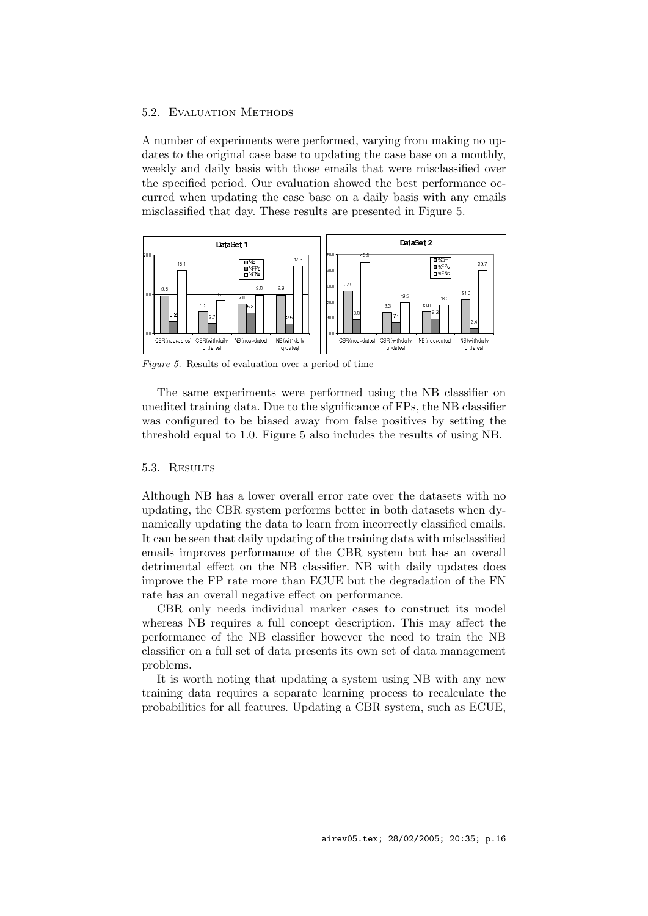#### 5.2. Evaluation Methods

A number of experiments were performed, varying from making no updates to the original case base to updating the case base on a monthly, weekly and daily basis with those emails that were misclassified over the specified period. Our evaluation showed the best performance occurred when updating the case base on a daily basis with any emails misclassified that day. These results are presented in Figure 5.



Figure 5. Results of evaluation over a period of time

The same experiments were performed using the NB classifier on unedited training data. Due to the significance of FPs, the NB classifier was configured to be biased away from false positives by setting the threshold equal to 1.0. Figure 5 also includes the results of using NB.

#### 5.3. Results

Although NB has a lower overall error rate over the datasets with no updating, the CBR system performs better in both datasets when dynamically updating the data to learn from incorrectly classified emails. It can be seen that daily updating of the training data with misclassified emails improves performance of the CBR system but has an overall detrimental effect on the NB classifier. NB with daily updates does improve the FP rate more than ECUE but the degradation of the FN rate has an overall negative effect on performance.

CBR only needs individual marker cases to construct its model whereas NB requires a full concept description. This may affect the performance of the NB classifier however the need to train the NB classifier on a full set of data presents its own set of data management problems.

It is worth noting that updating a system using NB with any new training data requires a separate learning process to recalculate the probabilities for all features. Updating a CBR system, such as ECUE,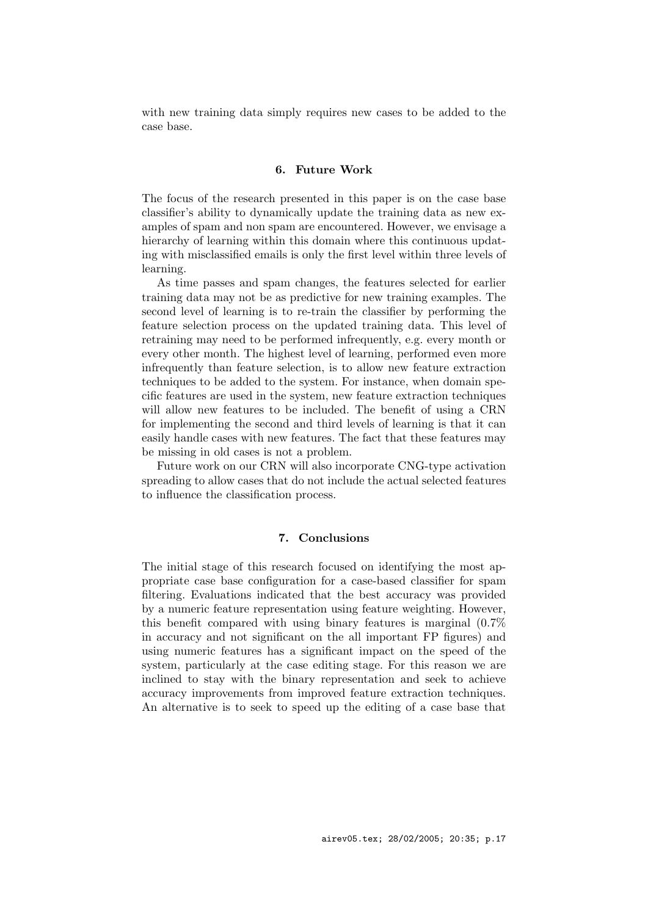with new training data simply requires new cases to be added to the case base.

# 6. Future Work

The focus of the research presented in this paper is on the case base classifier's ability to dynamically update the training data as new examples of spam and non spam are encountered. However, we envisage a hierarchy of learning within this domain where this continuous updating with misclassified emails is only the first level within three levels of learning.

As time passes and spam changes, the features selected for earlier training data may not be as predictive for new training examples. The second level of learning is to re-train the classifier by performing the feature selection process on the updated training data. This level of retraining may need to be performed infrequently, e.g. every month or every other month. The highest level of learning, performed even more infrequently than feature selection, is to allow new feature extraction techniques to be added to the system. For instance, when domain specific features are used in the system, new feature extraction techniques will allow new features to be included. The benefit of using a CRN for implementing the second and third levels of learning is that it can easily handle cases with new features. The fact that these features may be missing in old cases is not a problem.

Future work on our CRN will also incorporate CNG-type activation spreading to allow cases that do not include the actual selected features to influence the classification process.

#### 7. Conclusions

The initial stage of this research focused on identifying the most appropriate case base configuration for a case-based classifier for spam filtering. Evaluations indicated that the best accuracy was provided by a numeric feature representation using feature weighting. However, this benefit compared with using binary features is marginal (0.7% in accuracy and not significant on the all important FP figures) and using numeric features has a significant impact on the speed of the system, particularly at the case editing stage. For this reason we are inclined to stay with the binary representation and seek to achieve accuracy improvements from improved feature extraction techniques. An alternative is to seek to speed up the editing of a case base that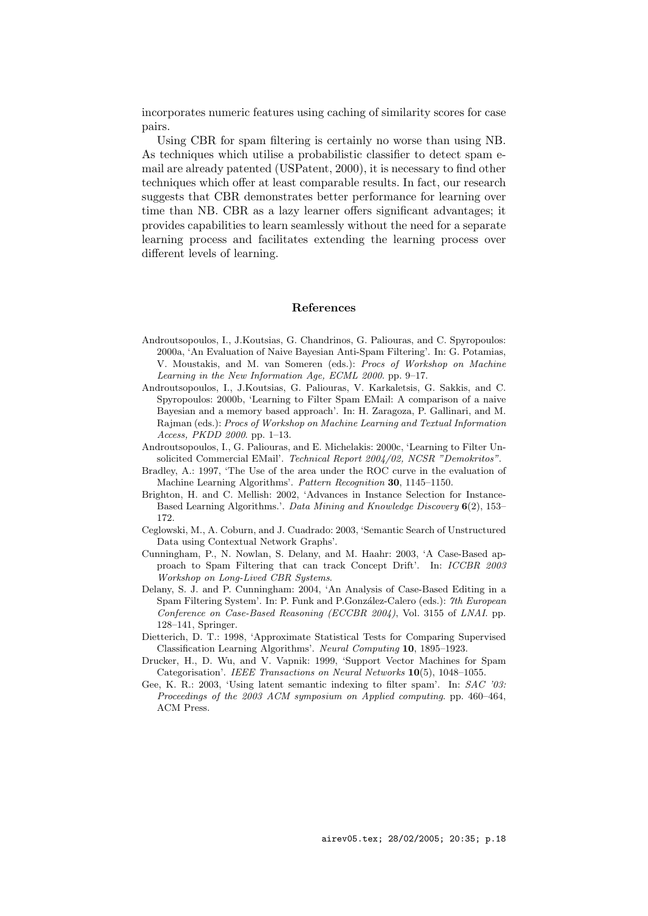incorporates numeric features using caching of similarity scores for case pairs.

Using CBR for spam filtering is certainly no worse than using NB. As techniques which utilise a probabilistic classifier to detect spam email are already patented (USPatent, 2000), it is necessary to find other techniques which offer at least comparable results. In fact, our research suggests that CBR demonstrates better performance for learning over time than NB. CBR as a lazy learner offers significant advantages; it provides capabilities to learn seamlessly without the need for a separate learning process and facilitates extending the learning process over different levels of learning.

#### References

- Androutsopoulos, I., J.Koutsias, G. Chandrinos, G. Paliouras, and C. Spyropoulos: 2000a, 'An Evaluation of Naive Bayesian Anti-Spam Filtering'. In: G. Potamias, V. Moustakis, and M. van Someren (eds.): Procs of Workshop on Machine Learning in the New Information Age, ECML 2000. pp. 9–17.
- Androutsopoulos, I., J.Koutsias, G. Paliouras, V. Karkaletsis, G. Sakkis, and C. Spyropoulos: 2000b, 'Learning to Filter Spam EMail: A comparison of a naive Bayesian and a memory based approach'. In: H. Zaragoza, P. Gallinari, and M. Rajman (eds.): Procs of Workshop on Machine Learning and Textual Information Access, PKDD 2000. pp. 1–13.
- Androutsopoulos, I., G. Paliouras, and E. Michelakis: 2000c, 'Learning to Filter Unsolicited Commercial EMail'. Technical Report 2004/02, NCSR "Demokritos".
- Bradley, A.: 1997, 'The Use of the area under the ROC curve in the evaluation of Machine Learning Algorithms'. Pattern Recognition 30, 1145–1150.
- Brighton, H. and C. Mellish: 2002, 'Advances in Instance Selection for Instance-Based Learning Algorithms.'. Data Mining and Knowledge Discovery 6(2), 153– 172.
- Ceglowski, M., A. Coburn, and J. Cuadrado: 2003, 'Semantic Search of Unstructured Data using Contextual Network Graphs'.
- Cunningham, P., N. Nowlan, S. Delany, and M. Haahr: 2003, 'A Case-Based approach to Spam Filtering that can track Concept Drift'. In: ICCBR 2003 Workshop on Long-Lived CBR Systems.
- Delany, S. J. and P. Cunningham: 2004, 'An Analysis of Case-Based Editing in a Spam Filtering System'. In: P. Funk and P.González-Calero (eds.): 7th European Conference on Case-Based Reasoning (ECCBR 2004), Vol. 3155 of LNAI. pp. 128–141, Springer.
- Dietterich, D. T.: 1998, 'Approximate Statistical Tests for Comparing Supervised Classification Learning Algorithms'. Neural Computing 10, 1895–1923.
- Drucker, H., D. Wu, and V. Vapnik: 1999, 'Support Vector Machines for Spam Categorisation'. IEEE Transactions on Neural Networks 10(5), 1048–1055.
- Gee, K. R.: 2003, 'Using latent semantic indexing to filter spam'. In: SAC '03: Proceedings of the 2003 ACM symposium on Applied computing. pp. 460–464, ACM Press.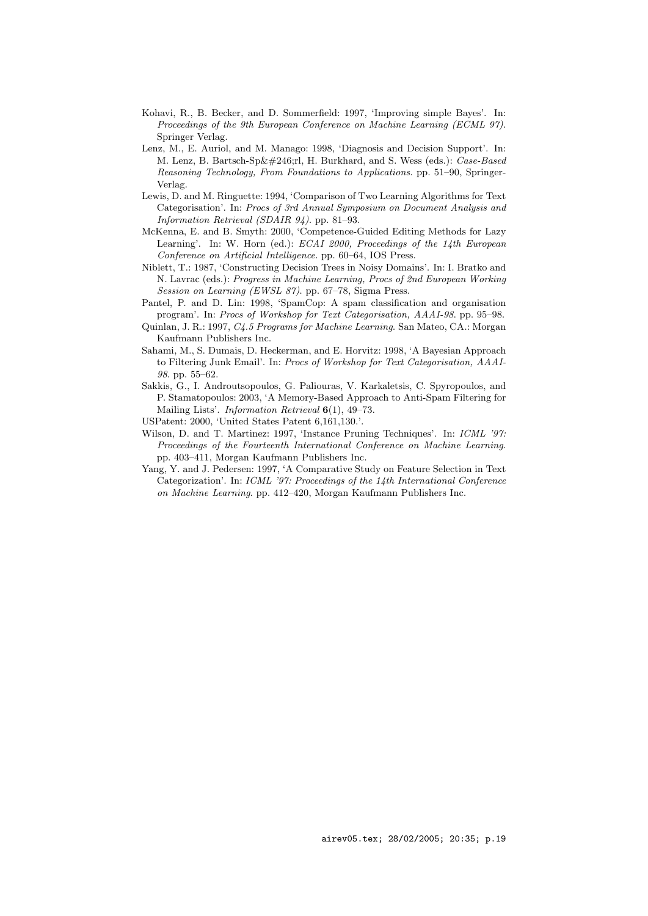- Kohavi, R., B. Becker, and D. Sommerfield: 1997, 'Improving simple Bayes'. In: Proceedings of the 9th European Conference on Machine Learning (ECML 97). Springer Verlag.
- Lenz, M., E. Auriol, and M. Manago: 1998, 'Diagnosis and Decision Support'. In: M. Lenz, B. Bartsch-Spörl, H. Burkhard, and S. Wess (eds.): Case-Based Reasoning Technology, From Foundations to Applications. pp. 51–90, Springer-Verlag.
- Lewis, D. and M. Ringuette: 1994, 'Comparison of Two Learning Algorithms for Text Categorisation'. In: Procs of 3rd Annual Symposium on Document Analysis and Information Retrieval (SDAIR 94). pp. 81–93.
- McKenna, E. and B. Smyth: 2000, 'Competence-Guided Editing Methods for Lazy Learning'. In: W. Horn (ed.): ECAI 2000, Proceedings of the 14th European Conference on Artificial Intelligence. pp. 60–64, IOS Press.
- Niblett, T.: 1987, 'Constructing Decision Trees in Noisy Domains'. In: I. Bratko and N. Lavrac (eds.): Progress in Machine Learning, Procs of 2nd European Working Session on Learning (EWSL 87). pp. 67–78, Sigma Press.
- Pantel, P. and D. Lin: 1998, 'SpamCop: A spam classification and organisation program'. In: Procs of Workshop for Text Categorisation, AAAI-98. pp. 95–98.
- Quinlan, J. R.: 1997, C4.5 Programs for Machine Learning. San Mateo, CA.: Morgan Kaufmann Publishers Inc.
- Sahami, M., S. Dumais, D. Heckerman, and E. Horvitz: 1998, 'A Bayesian Approach to Filtering Junk Email'. In: Procs of Workshop for Text Categorisation, AAAI-98. pp. 55–62.
- Sakkis, G., I. Androutsopoulos, G. Paliouras, V. Karkaletsis, C. Spyropoulos, and P. Stamatopoulos: 2003, 'A Memory-Based Approach to Anti-Spam Filtering for Mailing Lists'. Information Retrieval 6(1), 49–73.
- USPatent: 2000, 'United States Patent 6,161,130.'.
- Wilson, D. and T. Martinez: 1997, 'Instance Pruning Techniques'. In: ICML '97: Proceedings of the Fourteenth International Conference on Machine Learning. pp. 403–411, Morgan Kaufmann Publishers Inc.
- Yang, Y. and J. Pedersen: 1997, 'A Comparative Study on Feature Selection in Text Categorization'. In: ICML '97: Proceedings of the 14th International Conference on Machine Learning. pp. 412–420, Morgan Kaufmann Publishers Inc.